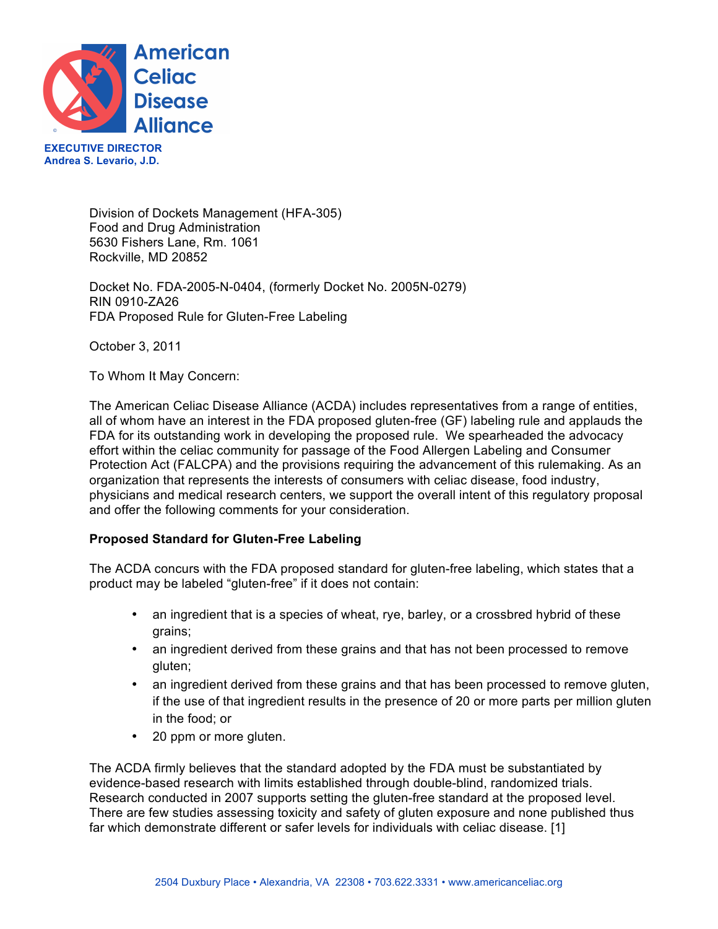

**EXECUTIVE DIRECTOR Andrea S. Levario, J.D.** 

> Division of Dockets Management (HFA-305) Food and Drug Administration 5630 Fishers Lane, Rm. 1061 Rockville, MD 20852

Docket No. FDA-2005-N-0404, (formerly Docket No. 2005N-0279) RIN 0910-ZA26 FDA Proposed Rule for Gluten-Free Labeling

October 3, 2011

To Whom It May Concern:

The American Celiac Disease Alliance (ACDA) includes representatives from a range of entities, all of whom have an interest in the FDA proposed gluten-free (GF) labeling rule and applauds the FDA for its outstanding work in developing the proposed rule. We spearheaded the advocacy effort within the celiac community for passage of the Food Allergen Labeling and Consumer Protection Act (FALCPA) and the provisions requiring the advancement of this rulemaking. As an organization that represents the interests of consumers with celiac disease, food industry, physicians and medical research centers, we support the overall intent of this regulatory proposal and offer the following comments for your consideration.

# **Proposed Standard for Gluten-Free Labeling**

The ACDA concurs with the FDA proposed standard for gluten-free labeling, which states that a product may be labeled "gluten-free" if it does not contain:

- an ingredient that is a species of wheat, rye, barley, or a crossbred hybrid of these grains;
- an ingredient derived from these grains and that has not been processed to remove gluten;
- an ingredient derived from these grains and that has been processed to remove gluten, if the use of that ingredient results in the presence of 20 or more parts per million gluten in the food; or
- 20 ppm or more gluten.

The ACDA firmly believes that the standard adopted by the FDA must be substantiated by evidence-based research with limits established through double-blind, randomized trials. Research conducted in 2007 supports setting the gluten-free standard at the proposed level. There are few studies assessing toxicity and safety of gluten exposure and none published thus far which demonstrate different or safer levels for individuals with celiac disease. [1]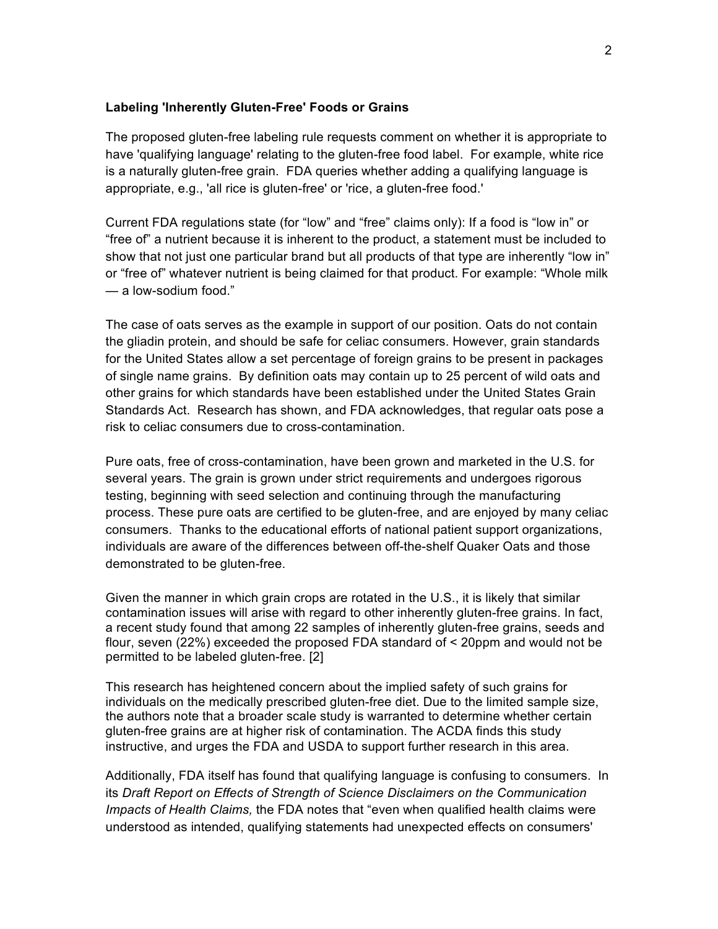### **Labeling 'Inherently Gluten-Free' Foods or Grains**

The proposed gluten-free labeling rule requests comment on whether it is appropriate to have 'qualifying language' relating to the gluten-free food label. For example, white rice is a naturally gluten-free grain. FDA queries whether adding a qualifying language is appropriate, e.g., 'all rice is gluten-free' or 'rice, a gluten-free food.'

Current FDA regulations state (for "low" and "free" claims only): If a food is "low in" or "free of" a nutrient because it is inherent to the product, a statement must be included to show that not just one particular brand but all products of that type are inherently "low in" or "free of" whatever nutrient is being claimed for that product. For example: "Whole milk — a low-sodium food."

The case of oats serves as the example in support of our position. Oats do not contain the gliadin protein, and should be safe for celiac consumers. However, grain standards for the United States allow a set percentage of foreign grains to be present in packages of single name grains. By definition oats may contain up to 25 percent of wild oats and other grains for which standards have been established under the United States Grain Standards Act. Research has shown, and FDA acknowledges, that regular oats pose a risk to celiac consumers due to cross-contamination.

Pure oats, free of cross-contamination, have been grown and marketed in the U.S. for several years. The grain is grown under strict requirements and undergoes rigorous testing, beginning with seed selection and continuing through the manufacturing process. These pure oats are certified to be gluten-free, and are enjoyed by many celiac consumers. Thanks to the educational efforts of national patient support organizations, individuals are aware of the differences between off-the-shelf Quaker Oats and those demonstrated to be gluten-free.

Given the manner in which grain crops are rotated in the U.S., it is likely that similar contamination issues will arise with regard to other inherently gluten-free grains. In fact, a recent study found that among 22 samples of inherently gluten-free grains, seeds and flour, seven (22%) exceeded the proposed FDA standard of < 20ppm and would not be permitted to be labeled gluten-free. [2]

This research has heightened concern about the implied safety of such grains for individuals on the medically prescribed gluten-free diet. Due to the limited sample size, the authors note that a broader scale study is warranted to determine whether certain gluten-free grains are at higher risk of contamination. The ACDA finds this study instructive, and urges the FDA and USDA to support further research in this area.

Additionally, FDA itself has found that qualifying language is confusing to consumers. In its *Draft Report on Effects of Strength of Science Disclaimers on the Communication Impacts of Health Claims,* the FDA notes that "even when qualified health claims were understood as intended, qualifying statements had unexpected effects on consumers'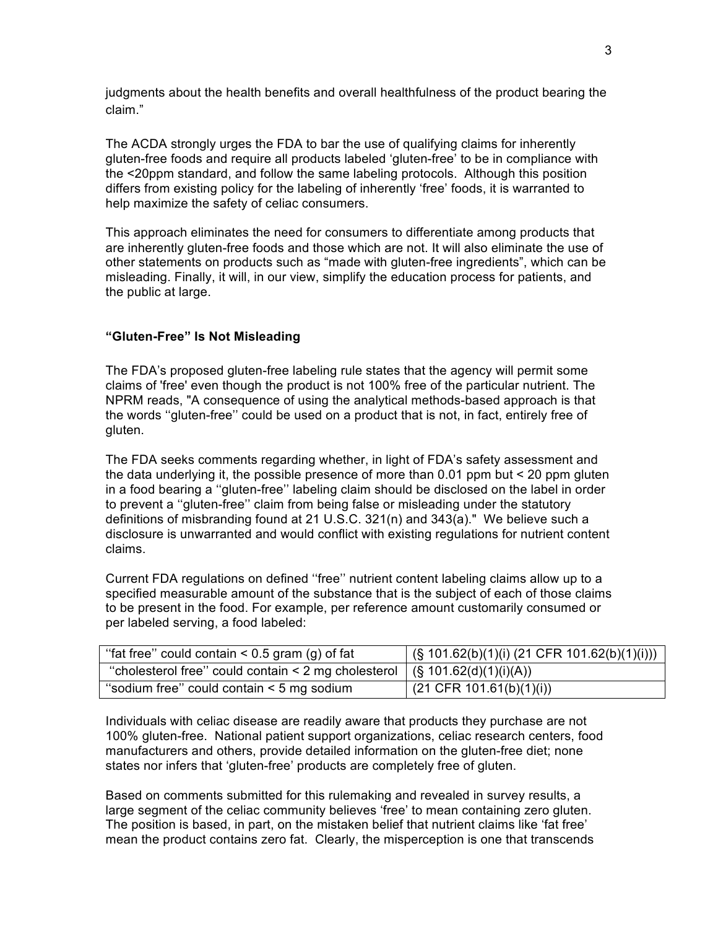judgments about the health benefits and overall healthfulness of the product bearing the claim."

The ACDA strongly urges the FDA to bar the use of qualifying claims for inherently gluten-free foods and require all products labeled 'gluten-free' to be in compliance with the <20ppm standard, and follow the same labeling protocols. Although this position differs from existing policy for the labeling of inherently 'free' foods, it is warranted to help maximize the safety of celiac consumers.

This approach eliminates the need for consumers to differentiate among products that are inherently gluten-free foods and those which are not. It will also eliminate the use of other statements on products such as "made with gluten-free ingredients", which can be misleading. Finally, it will, in our view, simplify the education process for patients, and the public at large.

# **"Gluten-Free" Is Not Misleading**

The FDA's proposed gluten-free labeling rule states that the agency will permit some claims of 'free' even though the product is not 100% free of the particular nutrient. The NPRM reads, "A consequence of using the analytical methods-based approach is that the words ''gluten-free'' could be used on a product that is not, in fact, entirely free of gluten.

The FDA seeks comments regarding whether, in light of FDA's safety assessment and the data underlying it, the possible presence of more than 0.01 ppm but < 20 ppm gluten in a food bearing a ''gluten-free'' labeling claim should be disclosed on the label in order to prevent a ''gluten-free'' claim from being false or misleading under the statutory definitions of misbranding found at 21 U.S.C. 321(n) and 343(a)." We believe such a disclosure is unwarranted and would conflict with existing regulations for nutrient content claims.

Current FDA regulations on defined ''free'' nutrient content labeling claims allow up to a specified measurable amount of the substance that is the subject of each of those claims to be present in the food. For example, per reference amount customarily consumed or per labeled serving, a food labeled:

| "fat free" could contain $\leq$ 0.5 gram (g) of fat                                          | $($ (§ 101.62(b)(1)(i) (21 CFR 101.62(b)(1)(i))) |
|----------------------------------------------------------------------------------------------|--------------------------------------------------|
| "cholesterol free" could contain < 2 mg cholesterol $($ $\frac{1}{2}$ (§ 101.62(d)(1)(i)(A)) |                                                  |
| "sodium free" could contain < 5 mg sodium                                                    | $(21$ CFR 101.61(b)(1)(i))                       |

Individuals with celiac disease are readily aware that products they purchase are not 100% gluten-free. National patient support organizations, celiac research centers, food manufacturers and others, provide detailed information on the gluten-free diet; none states nor infers that 'gluten-free' products are completely free of gluten.

Based on comments submitted for this rulemaking and revealed in survey results, a large segment of the celiac community believes 'free' to mean containing zero gluten. The position is based, in part, on the mistaken belief that nutrient claims like 'fat free' mean the product contains zero fat. Clearly, the misperception is one that transcends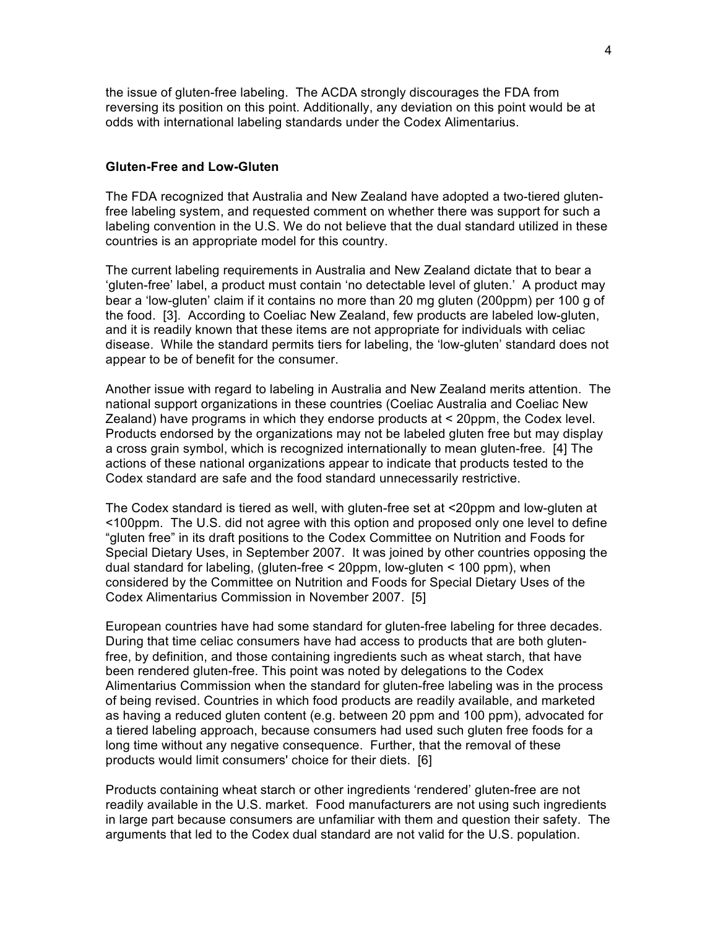the issue of gluten-free labeling. The ACDA strongly discourages the FDA from reversing its position on this point. Additionally, any deviation on this point would be at odds with international labeling standards under the Codex Alimentarius.

## **Gluten-Free and Low-Gluten**

The FDA recognized that Australia and New Zealand have adopted a two-tiered glutenfree labeling system, and requested comment on whether there was support for such a labeling convention in the U.S. We do not believe that the dual standard utilized in these countries is an appropriate model for this country.

The current labeling requirements in Australia and New Zealand dictate that to bear a 'gluten-free' label, a product must contain 'no detectable level of gluten.' A product may bear a 'low-gluten' claim if it contains no more than 20 mg gluten (200ppm) per 100 g of the food. [3]. According to Coeliac New Zealand, few products are labeled low-gluten, and it is readily known that these items are not appropriate for individuals with celiac disease. While the standard permits tiers for labeling, the 'low-gluten' standard does not appear to be of benefit for the consumer.

Another issue with regard to labeling in Australia and New Zealand merits attention. The national support organizations in these countries (Coeliac Australia and Coeliac New Zealand) have programs in which they endorse products at < 20ppm, the Codex level. Products endorsed by the organizations may not be labeled gluten free but may display a cross grain symbol, which is recognized internationally to mean gluten-free. [4] The actions of these national organizations appear to indicate that products tested to the Codex standard are safe and the food standard unnecessarily restrictive.

The Codex standard is tiered as well, with gluten-free set at <20ppm and low-gluten at <100ppm. The U.S. did not agree with this option and proposed only one level to define "gluten free" in its draft positions to the Codex Committee on Nutrition and Foods for Special Dietary Uses, in September 2007. It was joined by other countries opposing the dual standard for labeling, (gluten-free < 20ppm, low-gluten < 100 ppm), when considered by the Committee on Nutrition and Foods for Special Dietary Uses of the Codex Alimentarius Commission in November 2007. [5]

European countries have had some standard for gluten-free labeling for three decades. During that time celiac consumers have had access to products that are both glutenfree, by definition, and those containing ingredients such as wheat starch, that have been rendered gluten-free. This point was noted by delegations to the Codex Alimentarius Commission when the standard for gluten-free labeling was in the process of being revised. Countries in which food products are readily available, and marketed as having a reduced gluten content (e.g. between 20 ppm and 100 ppm), advocated for a tiered labeling approach, because consumers had used such gluten free foods for a long time without any negative consequence. Further, that the removal of these products would limit consumers' choice for their diets. [6]

Products containing wheat starch or other ingredients 'rendered' gluten-free are not readily available in the U.S. market. Food manufacturers are not using such ingredients in large part because consumers are unfamiliar with them and question their safety. The arguments that led to the Codex dual standard are not valid for the U.S. population.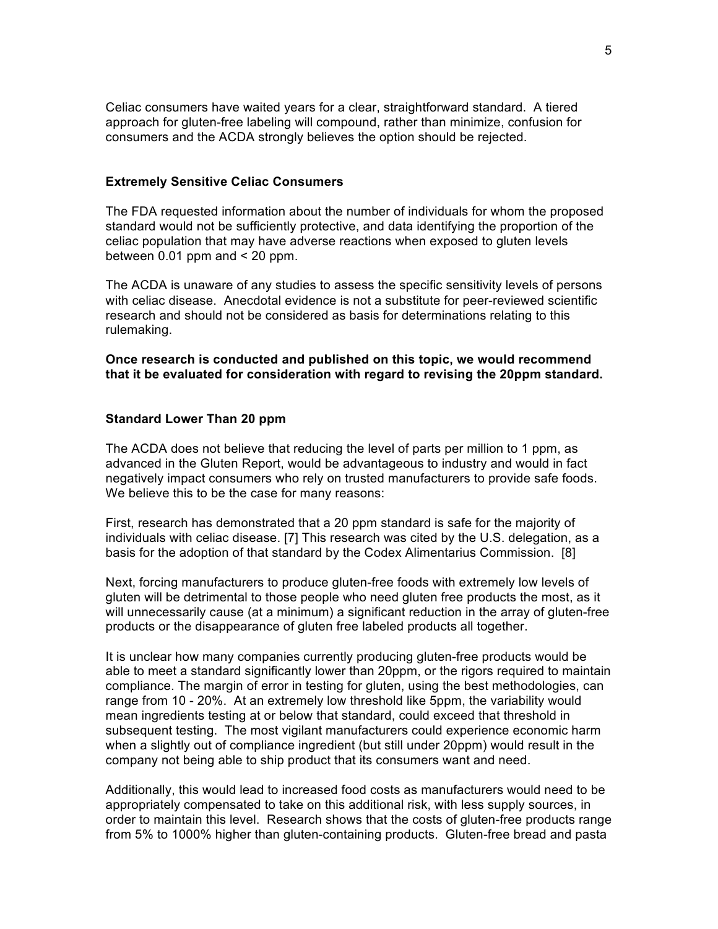Celiac consumers have waited years for a clear, straightforward standard. A tiered approach for gluten-free labeling will compound, rather than minimize, confusion for consumers and the ACDA strongly believes the option should be rejected.

# **Extremely Sensitive Celiac Consumers**

The FDA requested information about the number of individuals for whom the proposed standard would not be sufficiently protective, and data identifying the proportion of the celiac population that may have adverse reactions when exposed to gluten levels between 0.01 ppm and < 20 ppm.

The ACDA is unaware of any studies to assess the specific sensitivity levels of persons with celiac disease. Anecdotal evidence is not a substitute for peer-reviewed scientific research and should not be considered as basis for determinations relating to this rulemaking.

**Once research is conducted and published on this topic, we would recommend that it be evaluated for consideration with regard to revising the 20ppm standard.** 

# **Standard Lower Than 20 ppm**

The ACDA does not believe that reducing the level of parts per million to 1 ppm, as advanced in the Gluten Report, would be advantageous to industry and would in fact negatively impact consumers who rely on trusted manufacturers to provide safe foods. We believe this to be the case for many reasons:

First, research has demonstrated that a 20 ppm standard is safe for the majority of individuals with celiac disease. [7] This research was cited by the U.S. delegation, as a basis for the adoption of that standard by the Codex Alimentarius Commission. [8]

Next, forcing manufacturers to produce gluten-free foods with extremely low levels of gluten will be detrimental to those people who need gluten free products the most, as it will unnecessarily cause (at a minimum) a significant reduction in the array of gluten-free products or the disappearance of gluten free labeled products all together.

It is unclear how many companies currently producing gluten-free products would be able to meet a standard significantly lower than 20ppm, or the rigors required to maintain compliance. The margin of error in testing for gluten, using the best methodologies, can range from 10 - 20%. At an extremely low threshold like 5ppm, the variability would mean ingredients testing at or below that standard, could exceed that threshold in subsequent testing. The most vigilant manufacturers could experience economic harm when a slightly out of compliance ingredient (but still under 20ppm) would result in the company not being able to ship product that its consumers want and need.

Additionally, this would lead to increased food costs as manufacturers would need to be appropriately compensated to take on this additional risk, with less supply sources, in order to maintain this level. Research shows that the costs of gluten-free products range from 5% to 1000% higher than gluten-containing products. Gluten-free bread and pasta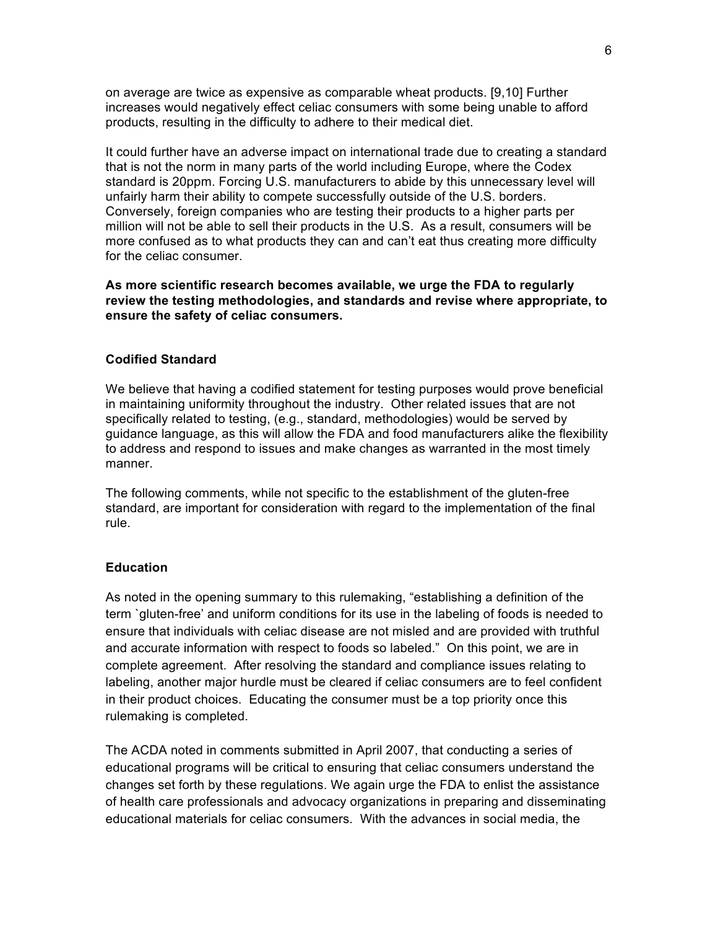on average are twice as expensive as comparable wheat products. [9,10] Further increases would negatively effect celiac consumers with some being unable to afford products, resulting in the difficulty to adhere to their medical diet.

It could further have an adverse impact on international trade due to creating a standard that is not the norm in many parts of the world including Europe, where the Codex standard is 20ppm. Forcing U.S. manufacturers to abide by this unnecessary level will unfairly harm their ability to compete successfully outside of the U.S. borders. Conversely, foreign companies who are testing their products to a higher parts per million will not be able to sell their products in the U.S. As a result, consumers will be more confused as to what products they can and can't eat thus creating more difficulty for the celiac consumer.

# **As more scientific research becomes available, we urge the FDA to regularly review the testing methodologies, and standards and revise where appropriate, to ensure the safety of celiac consumers.**

#### **Codified Standard**

We believe that having a codified statement for testing purposes would prove beneficial in maintaining uniformity throughout the industry. Other related issues that are not specifically related to testing, (e.g., standard, methodologies) would be served by guidance language, as this will allow the FDA and food manufacturers alike the flexibility to address and respond to issues and make changes as warranted in the most timely manner.

The following comments, while not specific to the establishment of the gluten-free standard, are important for consideration with regard to the implementation of the final rule.

# **Education**

As noted in the opening summary to this rulemaking, "establishing a definition of the term `gluten-free' and uniform conditions for its use in the labeling of foods is needed to ensure that individuals with celiac disease are not misled and are provided with truthful and accurate information with respect to foods so labeled." On this point, we are in complete agreement. After resolving the standard and compliance issues relating to labeling, another major hurdle must be cleared if celiac consumers are to feel confident in their product choices. Educating the consumer must be a top priority once this rulemaking is completed.

The ACDA noted in comments submitted in April 2007, that conducting a series of educational programs will be critical to ensuring that celiac consumers understand the changes set forth by these regulations. We again urge the FDA to enlist the assistance of health care professionals and advocacy organizations in preparing and disseminating educational materials for celiac consumers. With the advances in social media, the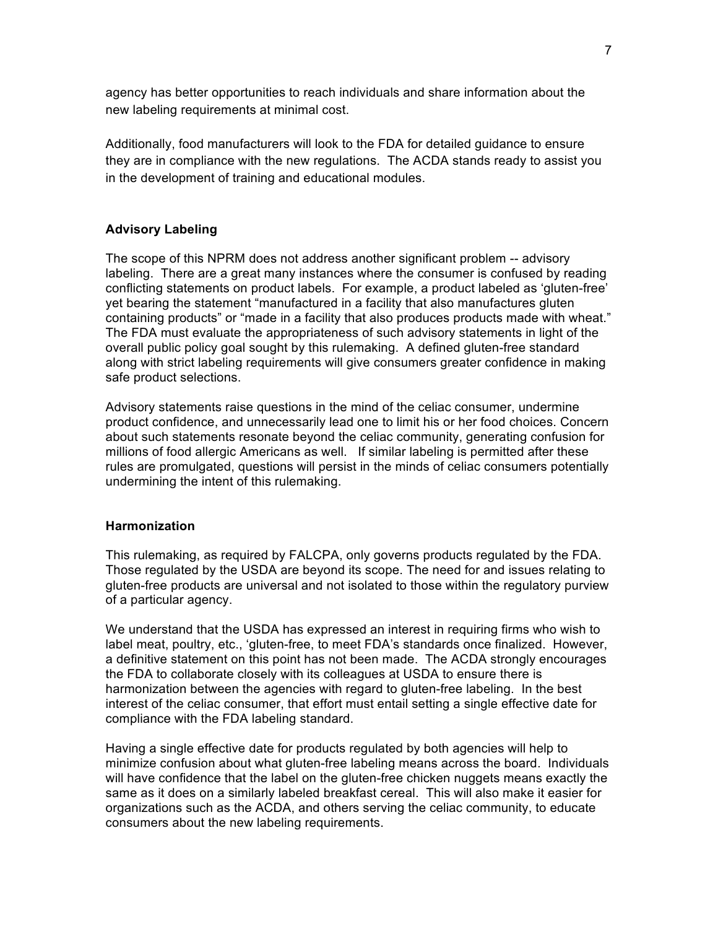agency has better opportunities to reach individuals and share information about the new labeling requirements at minimal cost.

Additionally, food manufacturers will look to the FDA for detailed guidance to ensure they are in compliance with the new regulations. The ACDA stands ready to assist you in the development of training and educational modules.

# **Advisory Labeling**

The scope of this NPRM does not address another significant problem -- advisory labeling. There are a great many instances where the consumer is confused by reading conflicting statements on product labels. For example, a product labeled as 'gluten-free' yet bearing the statement "manufactured in a facility that also manufactures gluten containing products" or "made in a facility that also produces products made with wheat." The FDA must evaluate the appropriateness of such advisory statements in light of the overall public policy goal sought by this rulemaking. A defined gluten-free standard along with strict labeling requirements will give consumers greater confidence in making safe product selections.

Advisory statements raise questions in the mind of the celiac consumer, undermine product confidence, and unnecessarily lead one to limit his or her food choices. Concern about such statements resonate beyond the celiac community, generating confusion for millions of food allergic Americans as well. If similar labeling is permitted after these rules are promulgated, questions will persist in the minds of celiac consumers potentially undermining the intent of this rulemaking.

### **Harmonization**

This rulemaking, as required by FALCPA, only governs products regulated by the FDA. Those regulated by the USDA are beyond its scope. The need for and issues relating to gluten-free products are universal and not isolated to those within the regulatory purview of a particular agency.

We understand that the USDA has expressed an interest in requiring firms who wish to label meat, poultry, etc., 'gluten-free, to meet FDA's standards once finalized. However, a definitive statement on this point has not been made. The ACDA strongly encourages the FDA to collaborate closely with its colleagues at USDA to ensure there is harmonization between the agencies with regard to gluten-free labeling. In the best interest of the celiac consumer, that effort must entail setting a single effective date for compliance with the FDA labeling standard.

Having a single effective date for products regulated by both agencies will help to minimize confusion about what gluten-free labeling means across the board. Individuals will have confidence that the label on the gluten-free chicken nuggets means exactly the same as it does on a similarly labeled breakfast cereal. This will also make it easier for organizations such as the ACDA, and others serving the celiac community, to educate consumers about the new labeling requirements.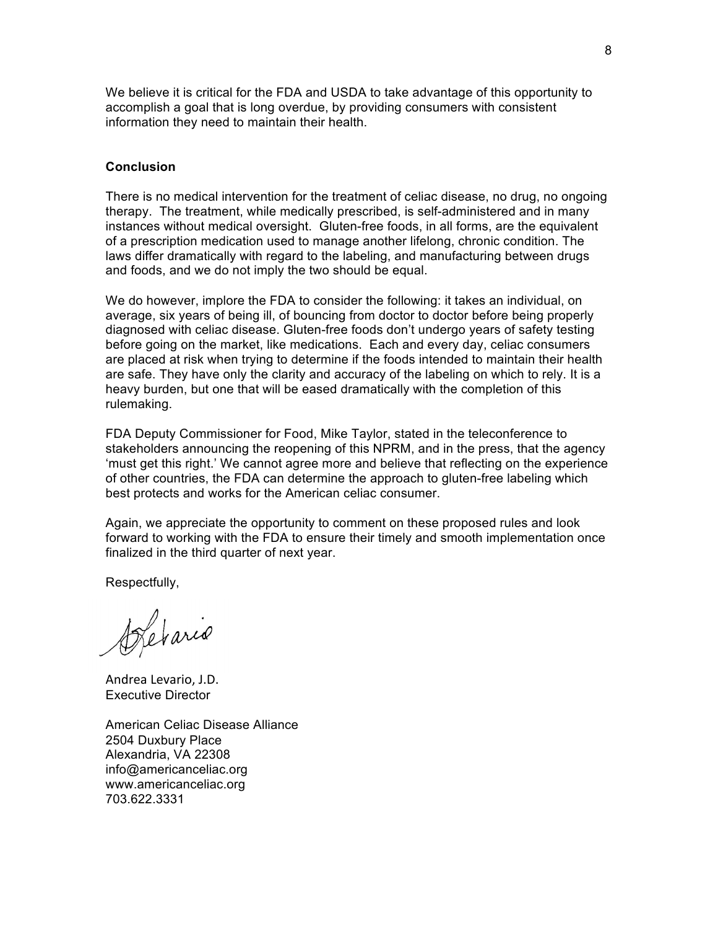We believe it is critical for the FDA and USDA to take advantage of this opportunity to accomplish a goal that is long overdue, by providing consumers with consistent information they need to maintain their health.

## **Conclusion**

There is no medical intervention for the treatment of celiac disease, no drug, no ongoing therapy. The treatment, while medically prescribed, is self-administered and in many instances without medical oversight. Gluten-free foods, in all forms, are the equivalent of a prescription medication used to manage another lifelong, chronic condition. The laws differ dramatically with regard to the labeling, and manufacturing between drugs and foods, and we do not imply the two should be equal.

We do however, implore the FDA to consider the following: it takes an individual, on average, six years of being ill, of bouncing from doctor to doctor before being properly diagnosed with celiac disease. Gluten-free foods don't undergo years of safety testing before going on the market, like medications. Each and every day, celiac consumers are placed at risk when trying to determine if the foods intended to maintain their health are safe. They have only the clarity and accuracy of the labeling on which to rely. It is a heavy burden, but one that will be eased dramatically with the completion of this rulemaking.

FDA Deputy Commissioner for Food, Mike Taylor, stated in the teleconference to stakeholders announcing the reopening of this NPRM, and in the press, that the agency 'must get this right.' We cannot agree more and believe that reflecting on the experience of other countries, the FDA can determine the approach to gluten-free labeling which best protects and works for the American celiac consumer.

Again, we appreciate the opportunity to comment on these proposed rules and look forward to working with the FDA to ensure their timely and smooth implementation once finalized in the third quarter of next year.

Respectfully,

Detario

Andrea Levario, J.D. Executive Director

American Celiac Disease Alliance 2504 Duxbury Place Alexandria, VA 22308 info@americanceliac.org www.americanceliac.org 703.622.3331